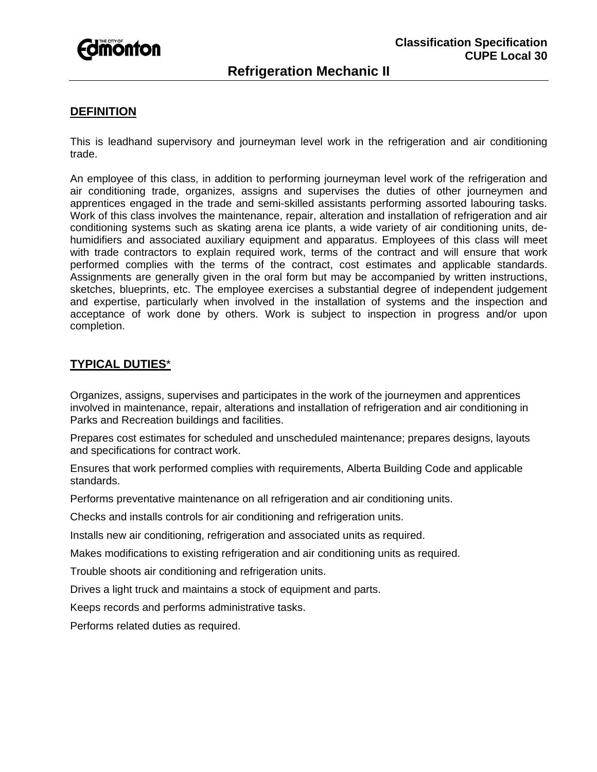

# **DEFINITION**

This is leadhand supervisory and journeyman level work in the refrigeration and air conditioning trade.

An employee of this class, in addition to performing journeyman level work of the refrigeration and air conditioning trade, organizes, assigns and supervises the duties of other journeymen and apprentices engaged in the trade and semi-skilled assistants performing assorted labouring tasks. Work of this class involves the maintenance, repair, alteration and installation of refrigeration and air conditioning systems such as skating arena ice plants, a wide variety of air conditioning units, dehumidifiers and associated auxiliary equipment and apparatus. Employees of this class will meet with trade contractors to explain required work, terms of the contract and will ensure that work performed complies with the terms of the contract, cost estimates and applicable standards. Assignments are generally given in the oral form but may be accompanied by written instructions, sketches, blueprints, etc. The employee exercises a substantial degree of independent judgement and expertise, particularly when involved in the installation of systems and the inspection and acceptance of work done by others. Work is subject to inspection in progress and/or upon completion.

# **TYPICAL DUTIES**\*

Organizes, assigns, supervises and participates in the work of the journeymen and apprentices involved in maintenance, repair, alterations and installation of refrigeration and air conditioning in Parks and Recreation buildings and facilities.

Prepares cost estimates for scheduled and unscheduled maintenance; prepares designs, layouts and specifications for contract work.

Ensures that work performed complies with requirements, Alberta Building Code and applicable standards.

Performs preventative maintenance on all refrigeration and air conditioning units.

Checks and installs controls for air conditioning and refrigeration units.

Installs new air conditioning, refrigeration and associated units as required.

Makes modifications to existing refrigeration and air conditioning units as required.

Trouble shoots air conditioning and refrigeration units.

Drives a light truck and maintains a stock of equipment and parts.

Keeps records and performs administrative tasks.

Performs related duties as required.